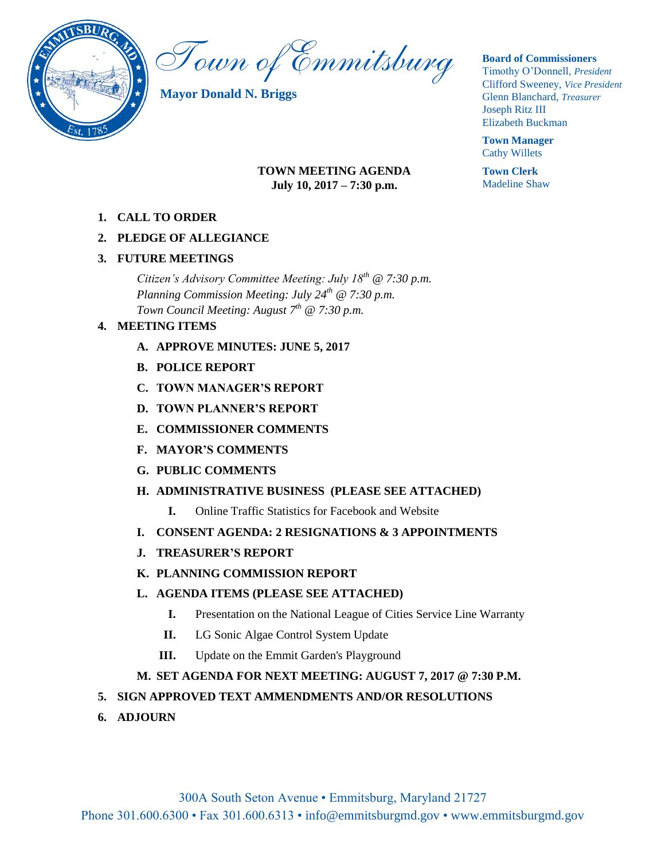

Town of Emmitsburg

**Mayor Donald N. Briggs**

# **TOWN MEETING AGENDA July 10, 2017 – 7:30 p.m.**

**1. CALL TO ORDER**

# **2. PLEDGE OF ALLEGIANCE**

# **3. FUTURE MEETINGS**

*Citizen's Advisory Committee Meeting: July 18th @ 7:30 p.m. Planning Commission Meeting: July 24th @ 7:30 p.m. Town Council Meeting: August 7th @ 7:30 p.m.*

# **4. MEETING ITEMS**

- **A. APPROVE MINUTES: JUNE 5, 2017**
- **B. POLICE REPORT**
- **C. TOWN MANAGER'S REPORT**
- **D. TOWN PLANNER'S REPORT**
- **E. COMMISSIONER COMMENTS**
- **F. MAYOR'S COMMENTS**
- **G. PUBLIC COMMENTS**
- **H. ADMINISTRATIVE BUSINESS (PLEASE SEE ATTACHED)**
	- **I.** Online Traffic Statistics for Facebook and Website
- **I. CONSENT AGENDA: 2 RESIGNATIONS & 3 APPOINTMENTS**
- **J. TREASURER'S REPORT**
- **K. PLANNING COMMISSION REPORT**

# **L. AGENDA ITEMS (PLEASE SEE ATTACHED)**

- **I.** Presentation on the National League of Cities Service Line Warranty
- **II.** LG Sonic Algae Control System Update
- **III.** Update on the Emmit Garden's Playground

# **M. SET AGENDA FOR NEXT MEETING: AUGUST 7, 2017 @ 7:30 P.M.**

# **5. SIGN APPROVED TEXT AMMENDMENTS AND/OR RESOLUTIONS**

**6. ADJOURN** 

## **Board of Commissioners**

Timothy O'Donnell, *President*  Clifford Sweeney, *Vice President*  Glenn Blanchard, *Treasurer*  Joseph Ritz III Elizabeth Buckman

**Town Manager** Cathy Willets

**Town Clerk** Madeline Shaw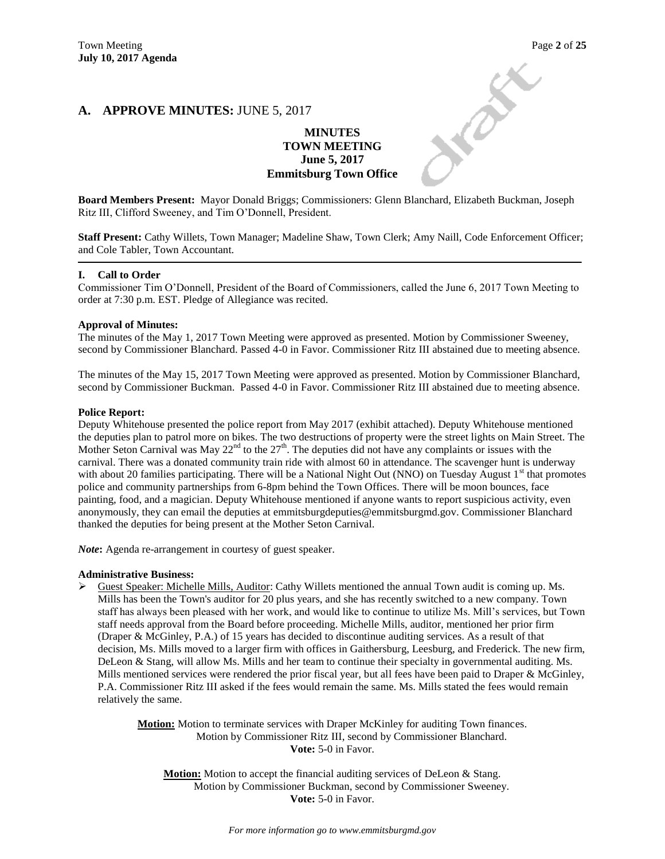**PARK** 

## **A. APPROVE MINUTES:** JUNE 5, 2017

#### **MINUTES TOWN MEETING June 5, 2017 Emmitsburg Town Office**

**Board Members Present:** Mayor Donald Briggs; Commissioners: Glenn Blanchard, Elizabeth Buckman, Joseph Ritz III, Clifford Sweeney, and Tim O'Donnell, President.

**Staff Present:** Cathy Willets, Town Manager; Madeline Shaw, Town Clerk; Amy Naill, Code Enforcement Officer; and Cole Tabler, Town Accountant.

#### **I. Call to Order**

Commissioner Tim O'Donnell, President of the Board of Commissioners, called the June 6, 2017 Town Meeting to order at 7:30 p.m. EST. Pledge of Allegiance was recited.

#### **Approval of Minutes:**

The minutes of the May 1, 2017 Town Meeting were approved as presented. Motion by Commissioner Sweeney, second by Commissioner Blanchard. Passed 4-0 in Favor. Commissioner Ritz III abstained due to meeting absence.

The minutes of the May 15, 2017 Town Meeting were approved as presented. Motion by Commissioner Blanchard, second by Commissioner Buckman. Passed 4-0 in Favor. Commissioner Ritz III abstained due to meeting absence.

#### **Police Report:**

Deputy Whitehouse presented the police report from May 2017 (exhibit attached). Deputy Whitehouse mentioned the deputies plan to patrol more on bikes. The two destructions of property were the street lights on Main Street. The Mother Seton Carnival was May  $22^{nd}$  to the  $27<sup>th</sup>$ . The deputies did not have any complaints or issues with the carnival. There was a donated community train ride with almost 60 in attendance. The scavenger hunt is underway with about 20 families participating. There will be a National Night Out (NNO) on Tuesday August  $1<sup>st</sup>$  that promotes police and community partnerships from 6-8pm behind the Town Offices. There will be moon bounces, face painting, food, and a magician. Deputy Whitehouse mentioned if anyone wants to report suspicious activity, even anonymously, they can email the deputies at emmitsburgdeputies@emmitsburgmd.gov. Commissioner Blanchard thanked the deputies for being present at the Mother Seton Carnival.

*Note*: Agenda re-arrangement in courtesy of guest speaker.

#### **Administrative Business:**

 Guest Speaker: Michelle Mills, Auditor: Cathy Willets mentioned the annual Town audit is coming up. Ms. Mills has been the Town's auditor for 20 plus years, and she has recently switched to a new company. Town staff has always been pleased with her work, and would like to continue to utilize Ms. Mill's services, but Town staff needs approval from the Board before proceeding. Michelle Mills, auditor, mentioned her prior firm (Draper & McGinley, P.A.) of 15 years has decided to discontinue auditing services. As a result of that decision, Ms. Mills moved to a larger firm with offices in Gaithersburg, Leesburg, and Frederick. The new firm, DeLeon & Stang, will allow Ms. Mills and her team to continue their specialty in governmental auditing. Ms. Mills mentioned services were rendered the prior fiscal year, but all fees have been paid to Draper & McGinley, P.A. Commissioner Ritz III asked if the fees would remain the same. Ms. Mills stated the fees would remain relatively the same.

> **Motion:** Motion to terminate services with Draper McKinley for auditing Town finances. Motion by Commissioner Ritz III, second by Commissioner Blanchard. **Vote:** 5-0 in Favor.

**Motion:** Motion to accept the financial auditing services of DeLeon & Stang. Motion by Commissioner Buckman, second by Commissioner Sweeney. **Vote:** 5-0 in Favor.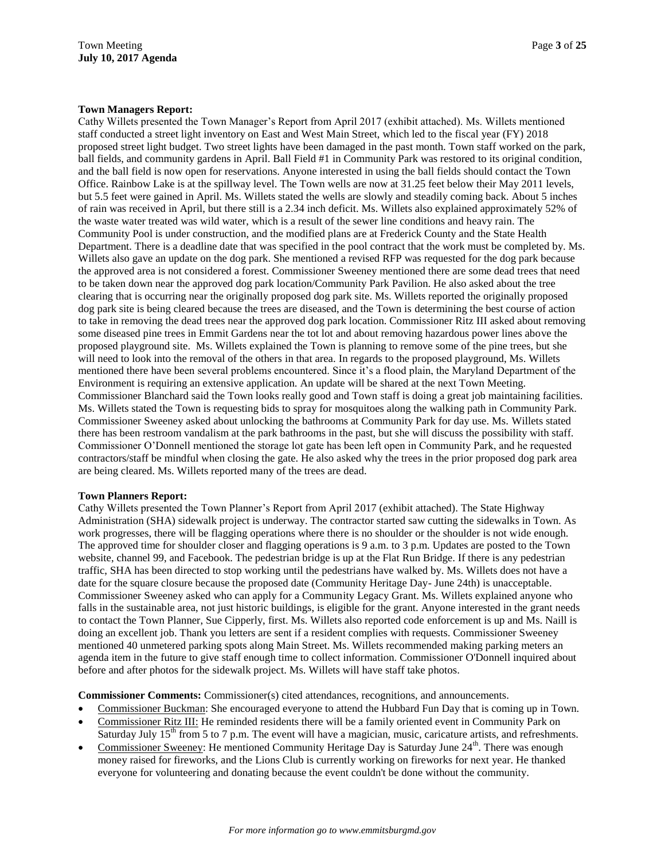#### **Town Managers Report:**

Cathy Willets presented the Town Manager's Report from April 2017 (exhibit attached). Ms. Willets mentioned staff conducted a street light inventory on East and West Main Street, which led to the fiscal year (FY) 2018 proposed street light budget. Two street lights have been damaged in the past month. Town staff worked on the park, ball fields, and community gardens in April. Ball Field #1 in Community Park was restored to its original condition, and the ball field is now open for reservations. Anyone interested in using the ball fields should contact the Town Office. Rainbow Lake is at the spillway level. The Town wells are now at 31.25 feet below their May 2011 levels, but 5.5 feet were gained in April. Ms. Willets stated the wells are slowly and steadily coming back. About 5 inches of rain was received in April, but there still is a 2.34 inch deficit. Ms. Willets also explained approximately 52% of the waste water treated was wild water, which is a result of the sewer line conditions and heavy rain. The Community Pool is under construction, and the modified plans are at Frederick County and the State Health Department. There is a deadline date that was specified in the pool contract that the work must be completed by. Ms. Willets also gave an update on the dog park. She mentioned a revised RFP was requested for the dog park because the approved area is not considered a forest. Commissioner Sweeney mentioned there are some dead trees that need to be taken down near the approved dog park location/Community Park Pavilion. He also asked about the tree clearing that is occurring near the originally proposed dog park site. Ms. Willets reported the originally proposed dog park site is being cleared because the trees are diseased, and the Town is determining the best course of action to take in removing the dead trees near the approved dog park location. Commissioner Ritz III asked about removing some diseased pine trees in Emmit Gardens near the tot lot and about removing hazardous power lines above the proposed playground site. Ms. Willets explained the Town is planning to remove some of the pine trees, but she will need to look into the removal of the others in that area. In regards to the proposed playground, Ms. Willets mentioned there have been several problems encountered. Since it's a flood plain, the Maryland Department of the Environment is requiring an extensive application. An update will be shared at the next Town Meeting. Commissioner Blanchard said the Town looks really good and Town staff is doing a great job maintaining facilities. Ms. Willets stated the Town is requesting bids to spray for mosquitoes along the walking path in Community Park. Commissioner Sweeney asked about unlocking the bathrooms at Community Park for day use. Ms. Willets stated there has been restroom vandalism at the park bathrooms in the past, but she will discuss the possibility with staff. Commissioner O'Donnell mentioned the storage lot gate has been left open in Community Park, and he requested contractors/staff be mindful when closing the gate. He also asked why the trees in the prior proposed dog park area are being cleared. Ms. Willets reported many of the trees are dead.

#### **Town Planners Report:**

Cathy Willets presented the Town Planner's Report from April 2017 (exhibit attached). The State Highway Administration (SHA) sidewalk project is underway. The contractor started saw cutting the sidewalks in Town. As work progresses, there will be flagging operations where there is no shoulder or the shoulder is not wide enough. The approved time for shoulder closer and flagging operations is 9 a.m. to 3 p.m. Updates are posted to the Town website, channel 99, and Facebook. The pedestrian bridge is up at the Flat Run Bridge. If there is any pedestrian traffic, SHA has been directed to stop working until the pedestrians have walked by. Ms. Willets does not have a date for the square closure because the proposed date (Community Heritage Day- June 24th) is unacceptable. Commissioner Sweeney asked who can apply for a Community Legacy Grant. Ms. Willets explained anyone who falls in the sustainable area, not just historic buildings, is eligible for the grant. Anyone interested in the grant needs to contact the Town Planner, Sue Cipperly, first. Ms. Willets also reported code enforcement is up and Ms. Naill is doing an excellent job. Thank you letters are sent if a resident complies with requests. Commissioner Sweeney mentioned 40 unmetered parking spots along Main Street. Ms. Willets recommended making parking meters an agenda item in the future to give staff enough time to collect information. Commissioner O'Donnell inquired about before and after photos for the sidewalk project. Ms. Willets will have staff take photos.

**Commissioner Comments:** Commissioner(s) cited attendances, recognitions, and announcements.

- Commissioner Buckman: She encouraged everyone to attend the Hubbard Fun Day that is coming up in Town.
- Commissioner Ritz III: He reminded residents there will be a family oriented event in Community Park on Saturday July 15<sup>th</sup> from 5 to 7 p.m. The event will have a magician, music, caricature artists, and refreshments.
- Commissioner Sweeney: He mentioned Community Heritage Day is Saturday June  $24<sup>th</sup>$ . There was enough money raised for fireworks, and the Lions Club is currently working on fireworks for next year. He thanked everyone for volunteering and donating because the event couldn't be done without the community.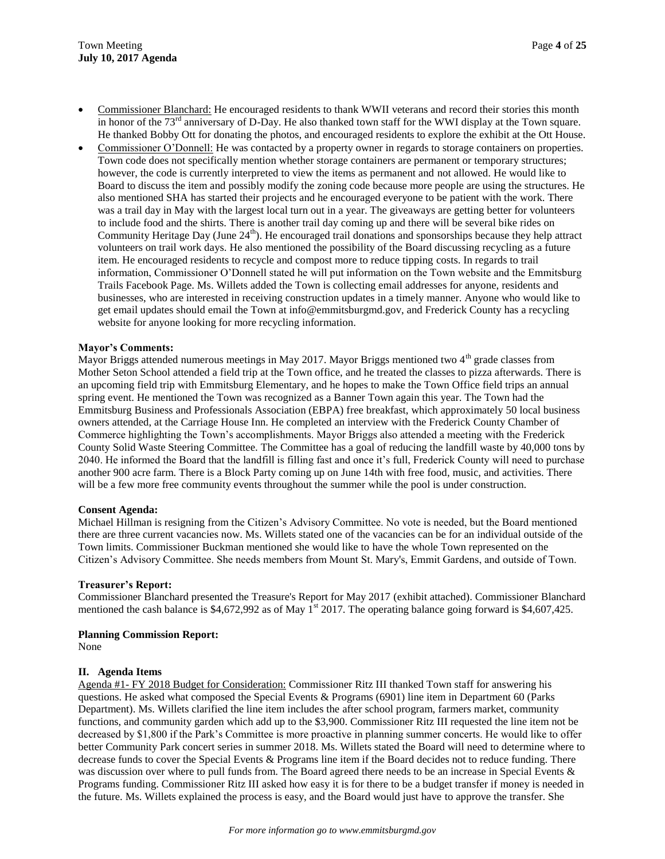- Commissioner Blanchard: He encouraged residents to thank WWII veterans and record their stories this month in honor of the  $73<sup>rd</sup>$  anniversary of D-Day. He also thanked town staff for the WWI display at the Town square. He thanked Bobby Ott for donating the photos, and encouraged residents to explore the exhibit at the Ott House.
- Commissioner O'Donnell: He was contacted by a property owner in regards to storage containers on properties. Town code does not specifically mention whether storage containers are permanent or temporary structures; however, the code is currently interpreted to view the items as permanent and not allowed. He would like to Board to discuss the item and possibly modify the zoning code because more people are using the structures. He also mentioned SHA has started their projects and he encouraged everyone to be patient with the work. There was a trail day in May with the largest local turn out in a year. The giveaways are getting better for volunteers to include food and the shirts. There is another trail day coming up and there will be several bike rides on Community Heritage Day (June 24<sup>th</sup>). He encouraged trail donations and sponsorships because they help attract volunteers on trail work days. He also mentioned the possibility of the Board discussing recycling as a future item. He encouraged residents to recycle and compost more to reduce tipping costs. In regards to trail information, Commissioner O'Donnell stated he will put information on the Town website and the Emmitsburg Trails Facebook Page. Ms. Willets added the Town is collecting email addresses for anyone, residents and businesses, who are interested in receiving construction updates in a timely manner. Anyone who would like to get email updates should email the Town at info@emmitsburgmd.gov, and Frederick County has a recycling website for anyone looking for more recycling information.

#### **Mayor's Comments:**

Mayor Briggs attended numerous meetings in May 2017. Mayor Briggs mentioned two 4<sup>th</sup> grade classes from Mother Seton School attended a field trip at the Town office, and he treated the classes to pizza afterwards. There is an upcoming field trip with Emmitsburg Elementary, and he hopes to make the Town Office field trips an annual spring event. He mentioned the Town was recognized as a Banner Town again this year. The Town had the Emmitsburg Business and Professionals Association (EBPA) free breakfast, which approximately 50 local business owners attended, at the Carriage House Inn. He completed an interview with the Frederick County Chamber of Commerce highlighting the Town's accomplishments. Mayor Briggs also attended a meeting with the Frederick County Solid Waste Steering Committee. The Committee has a goal of reducing the landfill waste by 40,000 tons by 2040. He informed the Board that the landfill is filling fast and once it's full, Frederick County will need to purchase another 900 acre farm. There is a Block Party coming up on June 14th with free food, music, and activities. There will be a few more free community events throughout the summer while the pool is under construction.

#### **Consent Agenda:**

Michael Hillman is resigning from the Citizen's Advisory Committee. No vote is needed, but the Board mentioned there are three current vacancies now. Ms. Willets stated one of the vacancies can be for an individual outside of the Town limits. Commissioner Buckman mentioned she would like to have the whole Town represented on the Citizen's Advisory Committee. She needs members from Mount St. Mary's, Emmit Gardens, and outside of Town.

#### **Treasurer's Report:**

Commissioner Blanchard presented the Treasure's Report for May 2017 (exhibit attached). Commissioner Blanchard mentioned the cash balance is \$4,672,992 as of May  $1^{st}$  2017. The operating balance going forward is \$4,607,425.

#### **Planning Commission Report:**

None

#### **II. Agenda Items**

Agenda #1- FY 2018 Budget for Consideration: Commissioner Ritz III thanked Town staff for answering his questions. He asked what composed the Special Events & Programs (6901) line item in Department 60 (Parks Department). Ms. Willets clarified the line item includes the after school program, farmers market, community functions, and community garden which add up to the \$3,900. Commissioner Ritz III requested the line item not be decreased by \$1,800 if the Park's Committee is more proactive in planning summer concerts. He would like to offer better Community Park concert series in summer 2018. Ms. Willets stated the Board will need to determine where to decrease funds to cover the Special Events & Programs line item if the Board decides not to reduce funding. There was discussion over where to pull funds from. The Board agreed there needs to be an increase in Special Events & Programs funding. Commissioner Ritz III asked how easy it is for there to be a budget transfer if money is needed in the future. Ms. Willets explained the process is easy, and the Board would just have to approve the transfer. She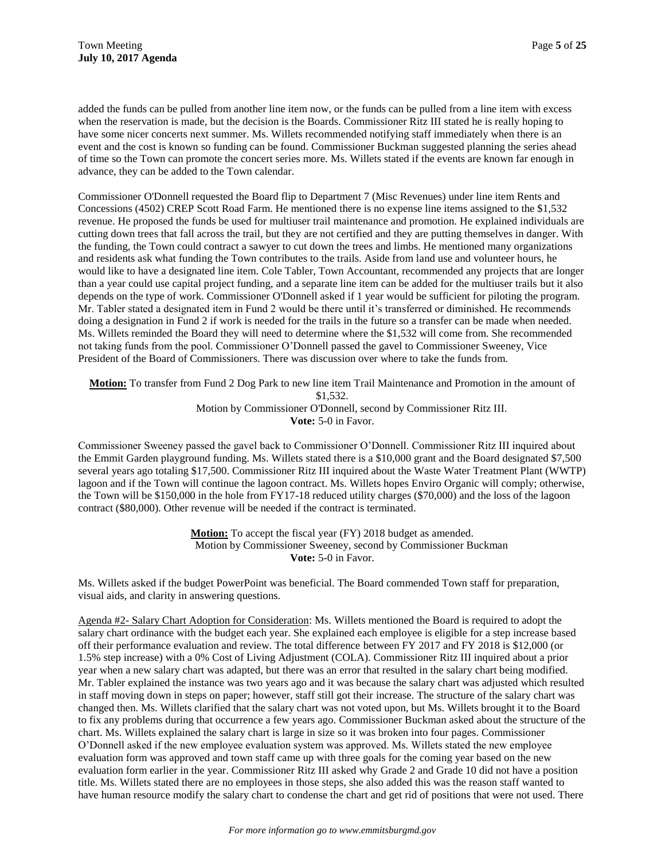added the funds can be pulled from another line item now, or the funds can be pulled from a line item with excess when the reservation is made, but the decision is the Boards. Commissioner Ritz III stated he is really hoping to have some nicer concerts next summer. Ms. Willets recommended notifying staff immediately when there is an event and the cost is known so funding can be found. Commissioner Buckman suggested planning the series ahead of time so the Town can promote the concert series more. Ms. Willets stated if the events are known far enough in advance, they can be added to the Town calendar.

Commissioner O'Donnell requested the Board flip to Department 7 (Misc Revenues) under line item Rents and Concessions (4502) CREP Scott Road Farm. He mentioned there is no expense line items assigned to the \$1,532 revenue. He proposed the funds be used for multiuser trail maintenance and promotion. He explained individuals are cutting down trees that fall across the trail, but they are not certified and they are putting themselves in danger. With the funding, the Town could contract a sawyer to cut down the trees and limbs. He mentioned many organizations and residents ask what funding the Town contributes to the trails. Aside from land use and volunteer hours, he would like to have a designated line item. Cole Tabler, Town Accountant, recommended any projects that are longer than a year could use capital project funding, and a separate line item can be added for the multiuser trails but it also depends on the type of work. Commissioner O'Donnell asked if 1 year would be sufficient for piloting the program. Mr. Tabler stated a designated item in Fund 2 would be there until it's transferred or diminished. He recommends doing a designation in Fund 2 if work is needed for the trails in the future so a transfer can be made when needed. Ms. Willets reminded the Board they will need to determine where the \$1,532 will come from. She recommended not taking funds from the pool. Commissioner O'Donnell passed the gavel to Commissioner Sweeney, Vice President of the Board of Commissioners. There was discussion over where to take the funds from.

**Motion:** To transfer from Fund 2 Dog Park to new line item Trail Maintenance and Promotion in the amount of \$1,532. Motion by Commissioner O'Donnell, second by Commissioner Ritz III. **Vote:** 5-0 in Favor.

Commissioner Sweeney passed the gavel back to Commissioner O'Donnell. Commissioner Ritz III inquired about the Emmit Garden playground funding. Ms. Willets stated there is a \$10,000 grant and the Board designated \$7,500 several years ago totaling \$17,500. Commissioner Ritz III inquired about the Waste Water Treatment Plant (WWTP) lagoon and if the Town will continue the lagoon contract. Ms. Willets hopes Enviro Organic will comply; otherwise, the Town will be \$150,000 in the hole from FY17-18 reduced utility charges (\$70,000) and the loss of the lagoon contract (\$80,000). Other revenue will be needed if the contract is terminated.

> **Motion:** To accept the fiscal year (FY) 2018 budget as amended. Motion by Commissioner Sweeney, second by Commissioner Buckman **Vote:** 5-0 in Favor.

Ms. Willets asked if the budget PowerPoint was beneficial. The Board commended Town staff for preparation, visual aids, and clarity in answering questions.

Agenda #2- Salary Chart Adoption for Consideration: Ms. Willets mentioned the Board is required to adopt the salary chart ordinance with the budget each year. She explained each employee is eligible for a step increase based off their performance evaluation and review. The total difference between FY 2017 and FY 2018 is \$12,000 (or 1.5% step increase) with a 0% Cost of Living Adjustment (COLA). Commissioner Ritz III inquired about a prior year when a new salary chart was adapted, but there was an error that resulted in the salary chart being modified. Mr. Tabler explained the instance was two years ago and it was because the salary chart was adjusted which resulted in staff moving down in steps on paper; however, staff still got their increase. The structure of the salary chart was changed then. Ms. Willets clarified that the salary chart was not voted upon, but Ms. Willets brought it to the Board to fix any problems during that occurrence a few years ago. Commissioner Buckman asked about the structure of the chart. Ms. Willets explained the salary chart is large in size so it was broken into four pages. Commissioner O'Donnell asked if the new employee evaluation system was approved. Ms. Willets stated the new employee evaluation form was approved and town staff came up with three goals for the coming year based on the new evaluation form earlier in the year. Commissioner Ritz III asked why Grade 2 and Grade 10 did not have a position title. Ms. Willets stated there are no employees in those steps, she also added this was the reason staff wanted to have human resource modify the salary chart to condense the chart and get rid of positions that were not used. There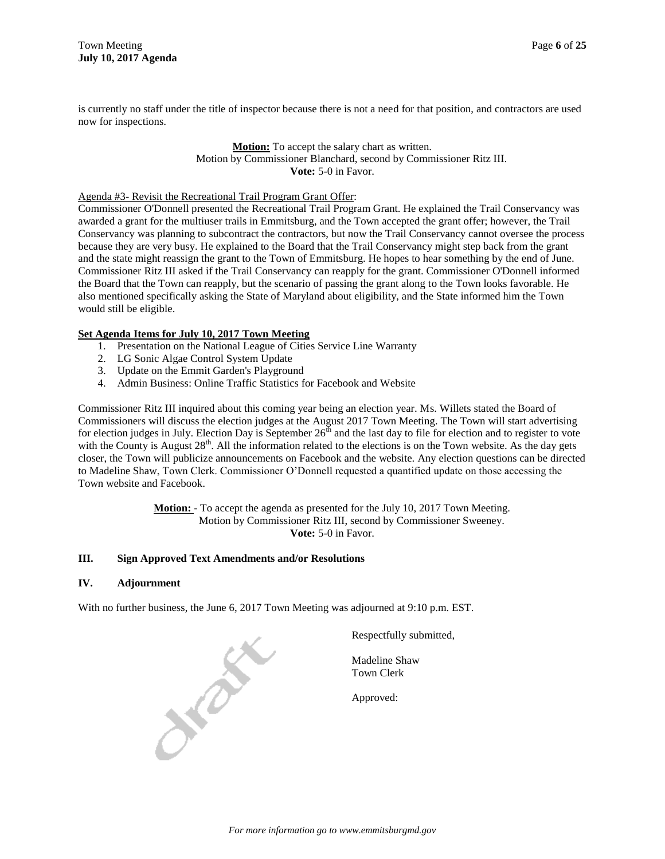is currently no staff under the title of inspector because there is not a need for that position, and contractors are used now for inspections.

> **Motion:** To accept the salary chart as written. Motion by Commissioner Blanchard, second by Commissioner Ritz III. **Vote:** 5-0 in Favor.

#### Agenda #3- Revisit the Recreational Trail Program Grant Offer:

Commissioner O'Donnell presented the Recreational Trail Program Grant. He explained the Trail Conservancy was awarded a grant for the multiuser trails in Emmitsburg, and the Town accepted the grant offer; however, the Trail Conservancy was planning to subcontract the contractors, but now the Trail Conservancy cannot oversee the process because they are very busy. He explained to the Board that the Trail Conservancy might step back from the grant and the state might reassign the grant to the Town of Emmitsburg. He hopes to hear something by the end of June. Commissioner Ritz III asked if the Trail Conservancy can reapply for the grant. Commissioner O'Donnell informed the Board that the Town can reapply, but the scenario of passing the grant along to the Town looks favorable. He also mentioned specifically asking the State of Maryland about eligibility, and the State informed him the Town would still be eligible.

#### **Set Agenda Items for July 10, 2017 Town Meeting**

- 1. Presentation on the National League of Cities Service Line Warranty
- 2. LG Sonic Algae Control System Update
- 3. Update on the Emmit Garden's Playground
- 4. Admin Business: Online Traffic Statistics for Facebook and Website

Commissioner Ritz III inquired about this coming year being an election year. Ms. Willets stated the Board of Commissioners will discuss the election judges at the August 2017 Town Meeting. The Town will start advertising for election judges in July. Election Day is September  $26<sup>th</sup>$  and the last day to file for election and to register to vote with the County is August  $28<sup>th</sup>$ . All the information related to the elections is on the Town website. As the day gets closer, the Town will publicize announcements on Facebook and the website. Any election questions can be directed to Madeline Shaw, Town Clerk. Commissioner O'Donnell requested a quantified update on those accessing the Town website and Facebook.

> **Motion:** - To accept the agenda as presented for the July 10, 2017 Town Meeting. Motion by Commissioner Ritz III, second by Commissioner Sweeney. **Vote:** 5-0 in Favor.

#### **III. Sign Approved Text Amendments and/or Resolutions**

#### **IV. Adjournment**

With no further business, the June 6, 2017 Town Meeting was adjourned at 9:10 p.m. EST.

January 1

Respectfully submitted,

Madeline Shaw Town Clerk

Approved: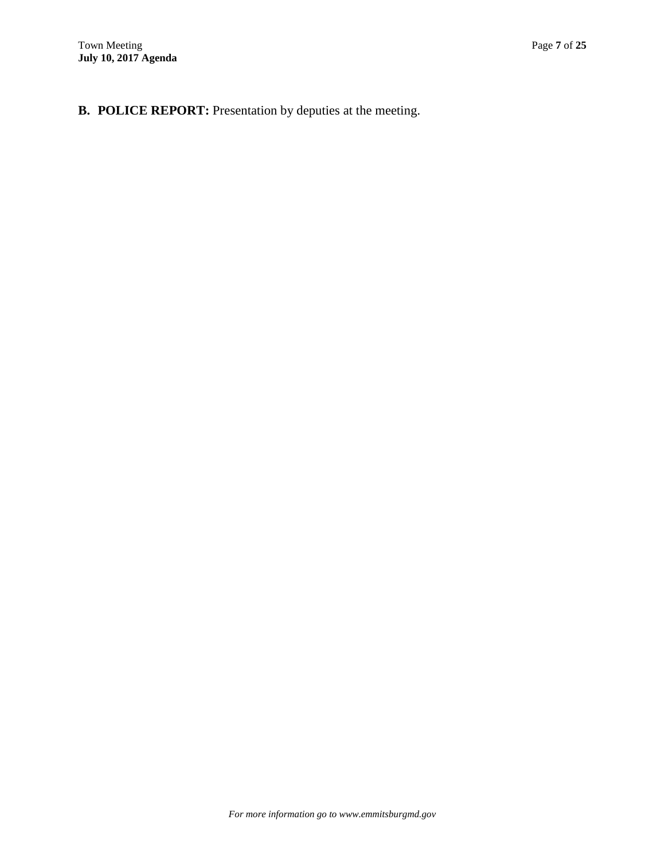**B. POLICE REPORT:** Presentation by deputies at the meeting.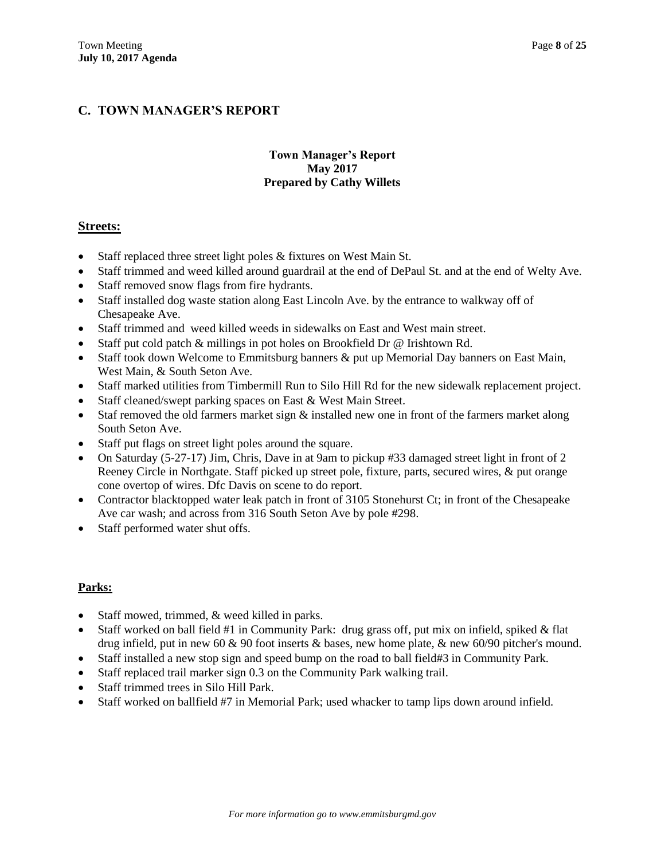# **C. TOWN MANAGER'S REPORT**

## **Town Manager's Report May 2017 Prepared by Cathy Willets**

## **Streets:**

- Staff replaced three street light poles & fixtures on West Main St.
- Staff trimmed and weed killed around guardrail at the end of DePaul St. and at the end of Welty Ave.
- Staff removed snow flags from fire hydrants.
- Staff installed dog waste station along East Lincoln Ave. by the entrance to walkway off of Chesapeake Ave.
- Staff trimmed and weed killed weeds in sidewalks on East and West main street.
- Staff put cold patch & millings in pot holes on Brookfield Dr @ Irishtown Rd.
- Staff took down Welcome to Emmitsburg banners & put up Memorial Day banners on East Main, West Main, & South Seton Ave.
- Staff marked utilities from Timbermill Run to Silo Hill Rd for the new sidewalk replacement project.
- Staff cleaned/swept parking spaces on East & West Main Street.
- Staf removed the old farmers market sign  $\&$  installed new one in front of the farmers market along South Seton Ave.
- Staff put flags on street light poles around the square.
- On Saturday (5-27-17) Jim, Chris, Dave in at 9am to pickup #33 damaged street light in front of 2 Reeney Circle in Northgate. Staff picked up street pole, fixture, parts, secured wires, & put orange cone overtop of wires. Dfc Davis on scene to do report.
- Contractor blacktopped water leak patch in front of 3105 Stonehurst Ct; in front of the Chesapeake Ave car wash; and across from 316 South Seton Ave by pole #298.
- Staff performed water shut offs.

#### **Parks:**

- Staff mowed, trimmed, & weed killed in parks.
- Staff worked on ball field #1 in Community Park: drug grass off, put mix on infield, spiked  $\&$  flat drug infield, put in new 60 & 90 foot inserts & bases, new home plate, & new 60/90 pitcher's mound.
- Staff installed a new stop sign and speed bump on the road to ball field#3 in Community Park.
- Staff replaced trail marker sign 0.3 on the Community Park walking trail.
- Staff trimmed trees in Silo Hill Park.
- Staff worked on ballfield #7 in Memorial Park; used whacker to tamp lips down around infield.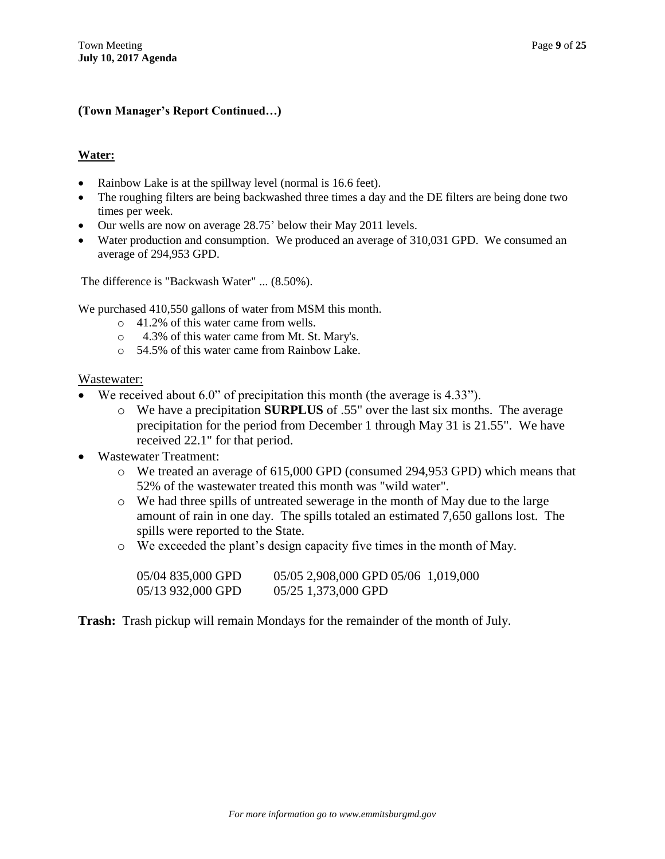## **(Town Manager's Report Continued…)**

## **Water:**

- Rainbow Lake is at the spillway level (normal is 16.6 feet).
- The roughing filters are being backwashed three times a day and the DE filters are being done two times per week.
- Our wells are now on average 28.75' below their May 2011 levels.
- Water production and consumption. We produced an average of 310,031 GPD. We consumed an average of 294,953 GPD.

The difference is "Backwash Water" ... (8.50%).

We purchased 410,550 gallons of water from MSM this month.

- o 41.2% of this water came from wells.
- o 4.3% of this water came from Mt. St. Mary's.
- o 54.5% of this water came from Rainbow Lake.

#### Wastewater:

- We received about 6.0" of precipitation this month (the average is 4.33").
	- o We have a precipitation **SURPLUS** of .55" over the last six months. The average precipitation for the period from December 1 through May 31 is 21.55". We have received 22.1" for that period.
- Wastewater Treatment:
	- o We treated an average of 615,000 GPD (consumed 294,953 GPD) which means that 52% of the wastewater treated this month was "wild water".
	- o We had three spills of untreated sewerage in the month of May due to the large amount of rain in one day. The spills totaled an estimated 7,650 gallons lost. The spills were reported to the State.
	- o We exceeded the plant's design capacity five times in the month of May.

| 05/04 835,000 GPD | 05/05 2,908,000 GPD 05/06 1,019,000 |  |
|-------------------|-------------------------------------|--|
| 05/13 932,000 GPD | 05/25 1,373,000 GPD                 |  |

**Trash:** Trash pickup will remain Mondays for the remainder of the month of July.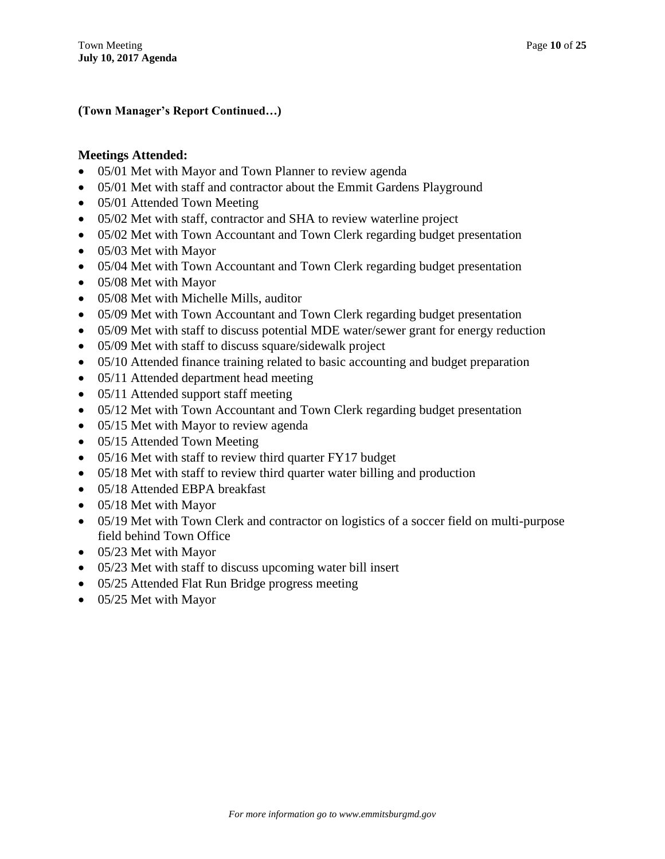**(Town Manager's Report Continued…)**

## **Meetings Attended:**

- 05/01 Met with Mayor and Town Planner to review agenda
- 05/01 Met with staff and contractor about the Emmit Gardens Playground
- 05/01 Attended Town Meeting
- 05/02 Met with staff, contractor and SHA to review waterline project
- 05/02 Met with Town Accountant and Town Clerk regarding budget presentation
- 05/03 Met with Mayor
- 05/04 Met with Town Accountant and Town Clerk regarding budget presentation
- 05/08 Met with Mayor
- 05/08 Met with Michelle Mills, auditor
- 05/09 Met with Town Accountant and Town Clerk regarding budget presentation
- 05/09 Met with staff to discuss potential MDE water/sewer grant for energy reduction
- 05/09 Met with staff to discuss square/sidewalk project
- 05/10 Attended finance training related to basic accounting and budget preparation
- 05/11 Attended department head meeting
- 05/11 Attended support staff meeting
- 05/12 Met with Town Accountant and Town Clerk regarding budget presentation
- 05/15 Met with Mayor to review agenda
- 05/15 Attended Town Meeting
- 05/16 Met with staff to review third quarter FY17 budget
- 05/18 Met with staff to review third quarter water billing and production
- 05/18 Attended EBPA breakfast
- 05/18 Met with Mayor
- 05/19 Met with Town Clerk and contractor on logistics of a soccer field on multi-purpose field behind Town Office
- 05/23 Met with Mayor
- 05/23 Met with staff to discuss upcoming water bill insert
- 05/25 Attended Flat Run Bridge progress meeting
- 05/25 Met with Mayor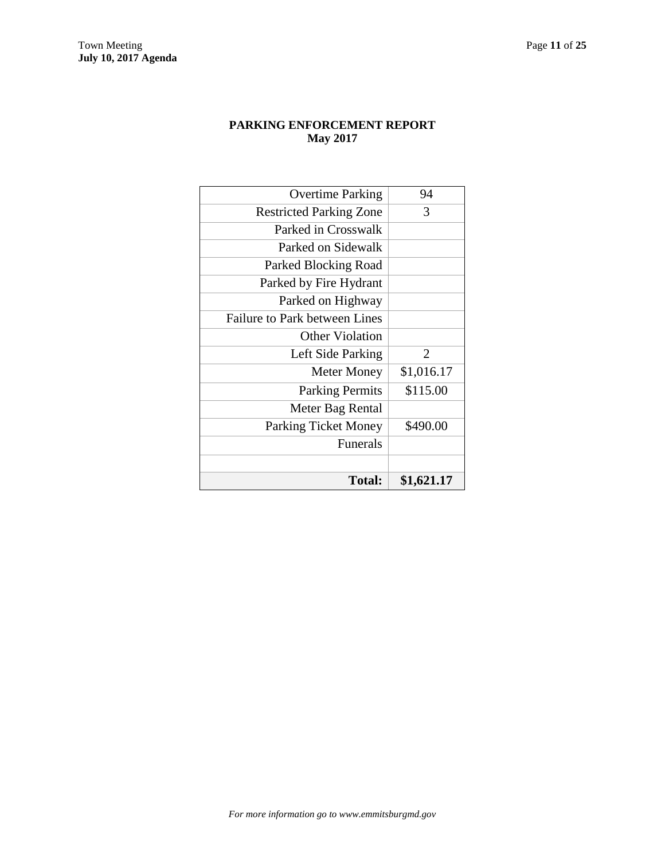# **PARKING ENFORCEMENT REPORT May 2017**

| Total:                               | \$1,621.17 |
|--------------------------------------|------------|
|                                      |            |
| <b>Funerals</b>                      |            |
| <b>Parking Ticket Money</b>          | \$490.00   |
| Meter Bag Rental                     |            |
| <b>Parking Permits</b>               | \$115.00   |
| <b>Meter Money</b>                   | \$1,016.17 |
| Left Side Parking                    | 2          |
| <b>Other Violation</b>               |            |
| <b>Failure to Park between Lines</b> |            |
| Parked on Highway                    |            |
| Parked by Fire Hydrant               |            |
| Parked Blocking Road                 |            |
| Parked on Sidewalk                   |            |
| Parked in Crosswalk                  |            |
| <b>Restricted Parking Zone</b>       | 3          |
| <b>Overtime Parking</b>              | 94         |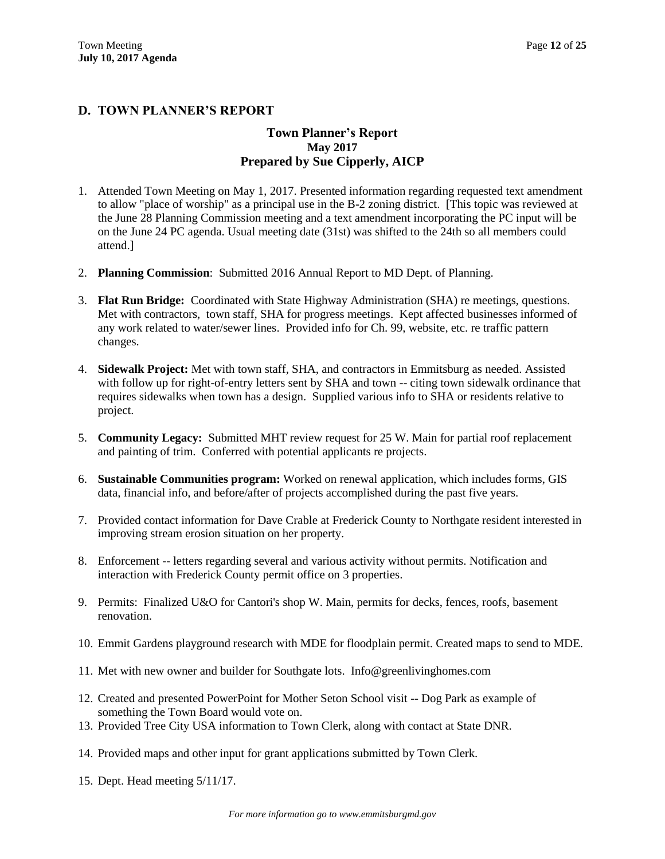## **D. TOWN PLANNER'S REPORT**

## **Town Planner's Report May 2017 Prepared by Sue Cipperly, AICP**

- 1. Attended Town Meeting on May 1, 2017. Presented information regarding requested text amendment to allow "place of worship" as a principal use in the B-2 zoning district. [This topic was reviewed at the June 28 Planning Commission meeting and a text amendment incorporating the PC input will be on the June 24 PC agenda. Usual meeting date (31st) was shifted to the 24th so all members could attend.]
- 2. **Planning Commission**: Submitted 2016 Annual Report to MD Dept. of Planning.
- 3. **Flat Run Bridge:** Coordinated with State Highway Administration (SHA) re meetings, questions. Met with contractors, town staff, SHA for progress meetings. Kept affected businesses informed of any work related to water/sewer lines. Provided info for Ch. 99, website, etc. re traffic pattern changes.
- 4. **Sidewalk Project:** Met with town staff, SHA, and contractors in Emmitsburg as needed. Assisted with follow up for right-of-entry letters sent by SHA and town -- citing town sidewalk ordinance that requires sidewalks when town has a design. Supplied various info to SHA or residents relative to project.
- 5. **Community Legacy:** Submitted MHT review request for 25 W. Main for partial roof replacement and painting of trim. Conferred with potential applicants re projects.
- 6. **Sustainable Communities program:** Worked on renewal application, which includes forms, GIS data, financial info, and before/after of projects accomplished during the past five years.
- 7. Provided contact information for Dave Crable at Frederick County to Northgate resident interested in improving stream erosion situation on her property.
- 8. Enforcement -- letters regarding several and various activity without permits. Notification and interaction with Frederick County permit office on 3 properties.
- 9. Permits: Finalized U&O for Cantori's shop W. Main, permits for decks, fences, roofs, basement renovation.
- 10. Emmit Gardens playground research with MDE for floodplain permit. Created maps to send to MDE.
- 11. Met with new owner and builder for Southgate lots. Info@greenlivinghomes.com
- 12. Created and presented PowerPoint for Mother Seton School visit -- Dog Park as example of something the Town Board would vote on.
- 13. Provided Tree City USA information to Town Clerk, along with contact at State DNR.
- 14. Provided maps and other input for grant applications submitted by Town Clerk.
- 15. Dept. Head meeting 5/11/17.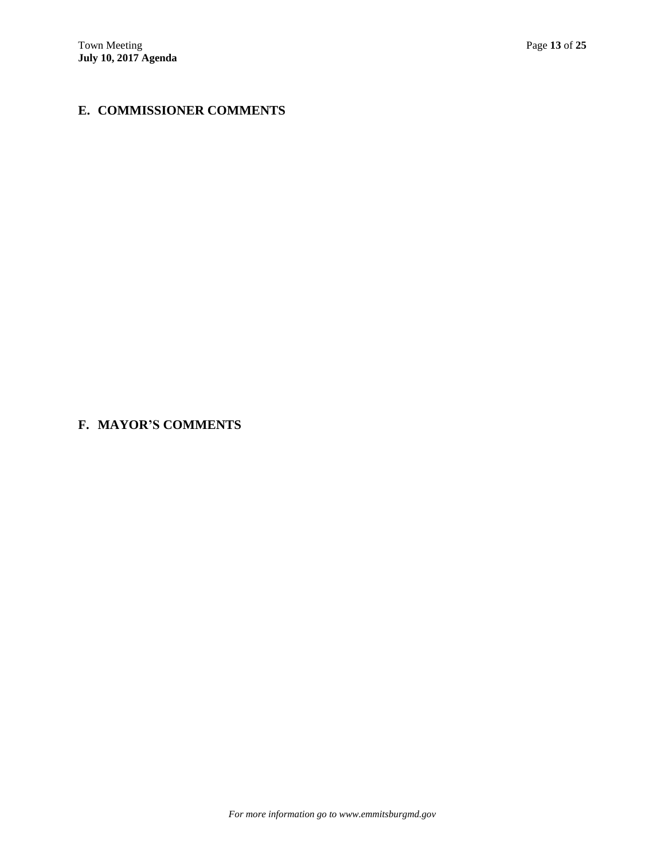# **E. COMMISSIONER COMMENTS**

**F. MAYOR'S COMMENTS**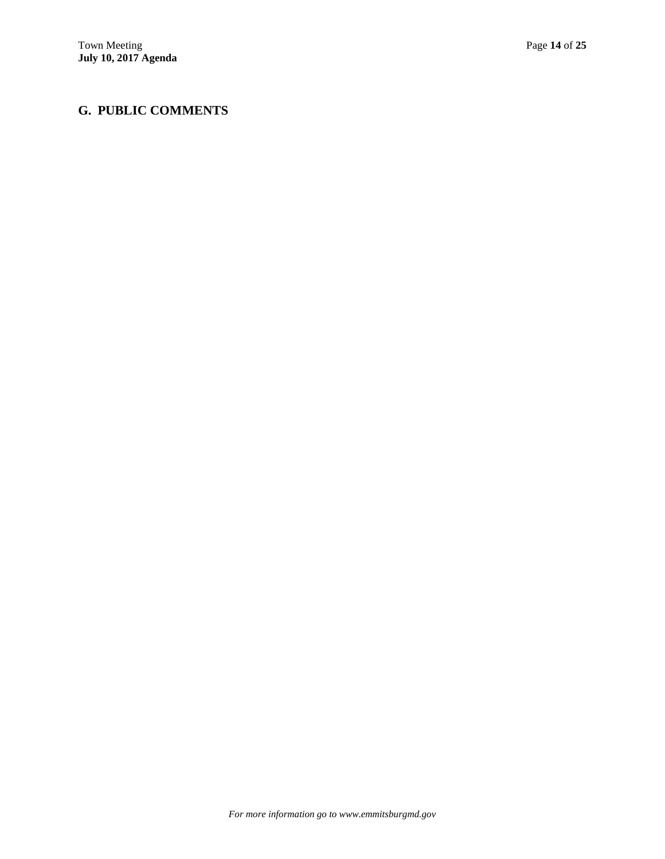# **G. PUBLIC COMMENTS**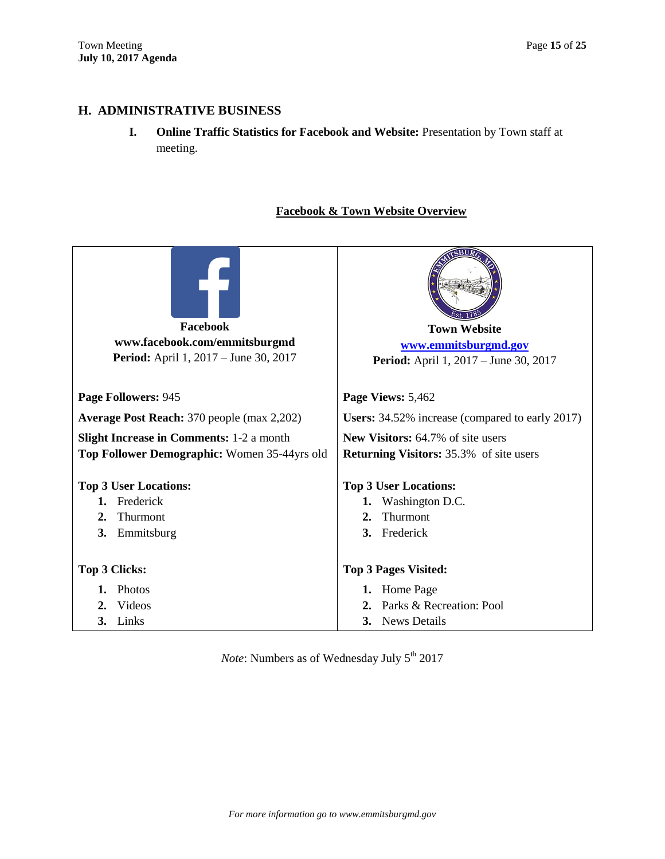# **H. ADMINISTRATIVE BUSINESS**

**I. Online Traffic Statistics for Facebook and Website:** Presentation by Town staff at meeting.

# **Facebook & Town Website Overview**

| Facebook                                                                                                    | <b>Town Website</b>                          |
|-------------------------------------------------------------------------------------------------------------|----------------------------------------------|
| www.facebook.com/emmitsburgmd                                                                               | www.emmitsburgmd.gov                         |
| <b>Period:</b> April 1, 2017 – June 30, 2017                                                                | <b>Period:</b> April 1, 2017 – June 30, 2017 |
| Page Followers: 945                                                                                         | Page Views: 5,462                            |
| <b>Average Post Reach:</b> 370 people (max 2,202)<br><b>Users:</b> 34.52% increase (compared to early 2017) |                                              |
| <b>Slight Increase in Comments: 1-2 a month</b><br><b>New Visitors:</b> 64.7% of site users                 |                                              |
| Top Follower Demographic: Women 35-44yrs old<br><b>Returning Visitors:</b> 35.3% of site users              |                                              |
| <b>Top 3 User Locations:</b>                                                                                | <b>Top 3 User Locations:</b>                 |
| Frederick                                                                                                   | Washington D.C.                              |
| 1.                                                                                                          | 1.                                           |
| Thurmont                                                                                                    | Thurmont                                     |
| 2.                                                                                                          | 2.                                           |
| 3.                                                                                                          | Frederick                                    |
| Emmitsburg                                                                                                  | 3.                                           |
| <b>Top 3 Clicks:</b>                                                                                        | <b>Top 3 Pages Visited:</b>                  |
| Photos                                                                                                      | Home Page                                    |
| 1.                                                                                                          | 1.                                           |
| Videos                                                                                                      | Parks & Recreation: Pool                     |
| 2.                                                                                                          | 2.                                           |
| Links                                                                                                       | <b>News Details</b>                          |
| 3.                                                                                                          | 3.                                           |

*Note*: Numbers as of Wednesday July 5<sup>th</sup> 2017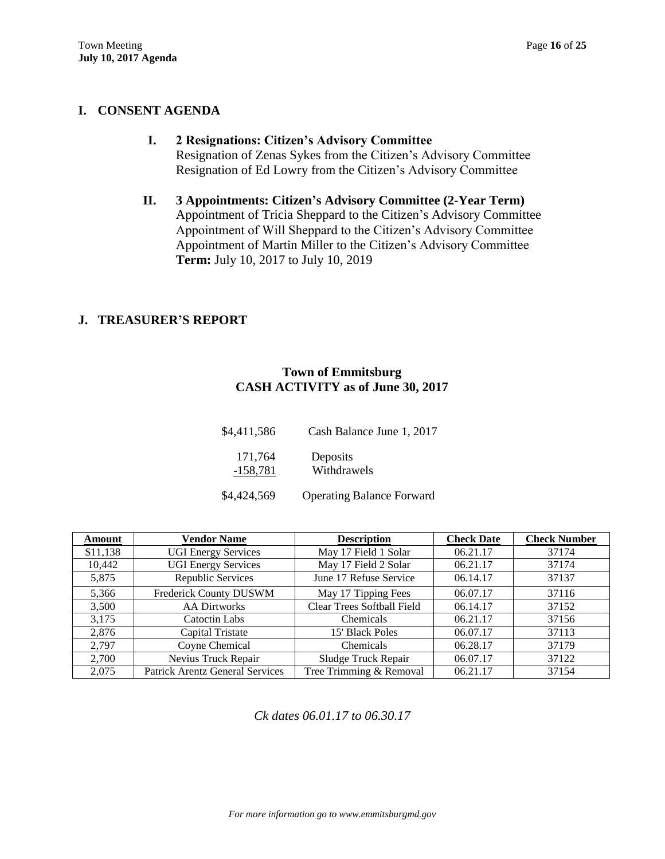# **I. CONSENT AGENDA**

- **I. 2 Resignations: Citizen's Advisory Committee** Resignation of Zenas Sykes from the Citizen's Advisory Committee Resignation of Ed Lowry from the Citizen's Advisory Committee
- **II. 3 Appointments: Citizen's Advisory Committee (2-Year Term)** Appointment of Tricia Sheppard to the Citizen's Advisory Committee Appointment of Will Sheppard to the Citizen's Advisory Committee Appointment of Martin Miller to the Citizen's Advisory Committee **Term:** July 10, 2017 to July 10, 2019

## **J. TREASURER'S REPORT**

## **Town of Emmitsburg CASH ACTIVITY as of June 30, 2017**

| \$4,411,586           | Cash Balance June 1, 2017        |
|-----------------------|----------------------------------|
| 171.764<br>$-158,781$ | Deposits<br>Withdrawels          |
| \$4,424,569           | <b>Operating Balance Forward</b> |

| Amount   | <b>Vendor Name</b>                     | <b>Description</b>                | <b>Check Date</b> | <b>Check Number</b> |
|----------|----------------------------------------|-----------------------------------|-------------------|---------------------|
| \$11,138 | <b>UGI Energy Services</b>             | May 17 Field 1 Solar              | 06.21.17          | 37174               |
| 10,442   | <b>UGI Energy Services</b>             | May 17 Field 2 Solar              | 06.21.17          | 37174               |
| 5,875    | Republic Services                      | June 17 Refuse Service            | 06.14.17          | 37137               |
| 5,366    | Frederick County DUSWM                 | May 17 Tipping Fees               | 06.07.17          | 37116               |
| 3,500    | <b>AA Dirtworks</b>                    | <b>Clear Trees Softball Field</b> | 06.14.17          | 37152               |
| 3,175    | Catoctin Labs                          | Chemicals                         | 06.21.17          | 37156               |
| 2,876    | Capital Tristate                       | 15' Black Poles                   | 06.07.17          | 37113               |
| 2,797    | Coyne Chemical                         | Chemicals                         | 06.28.17          | 37179               |
| 2,700    | Nevius Truck Repair                    | Sludge Truck Repair               | 06.07.17          | 37122               |
| 2,075    | <b>Patrick Arentz General Services</b> | Tree Trimming & Removal           | 06.21.17          | 37154               |

*Ck dates 06.01.17 to 06.30.17*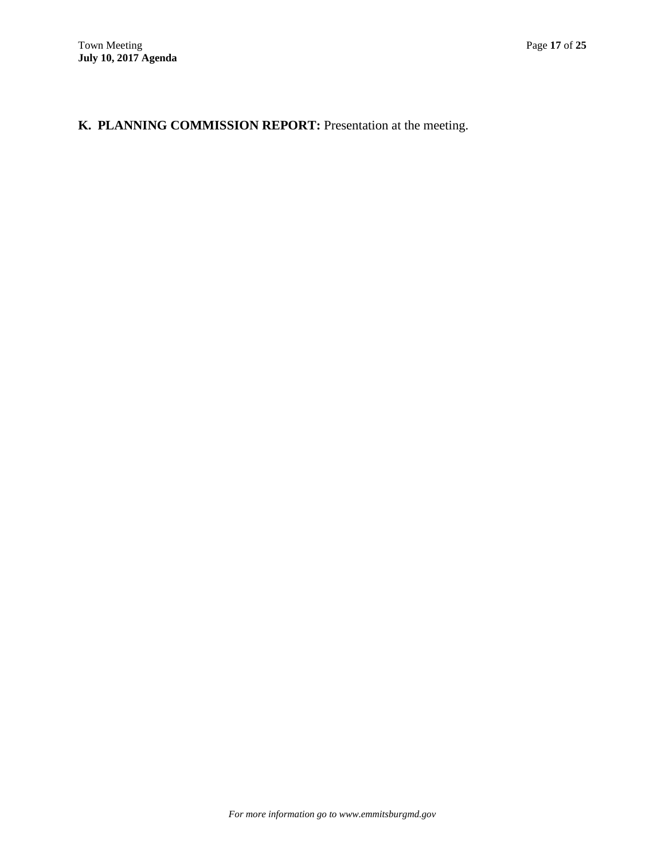# **K. PLANNING COMMISSION REPORT:** Presentation at the meeting.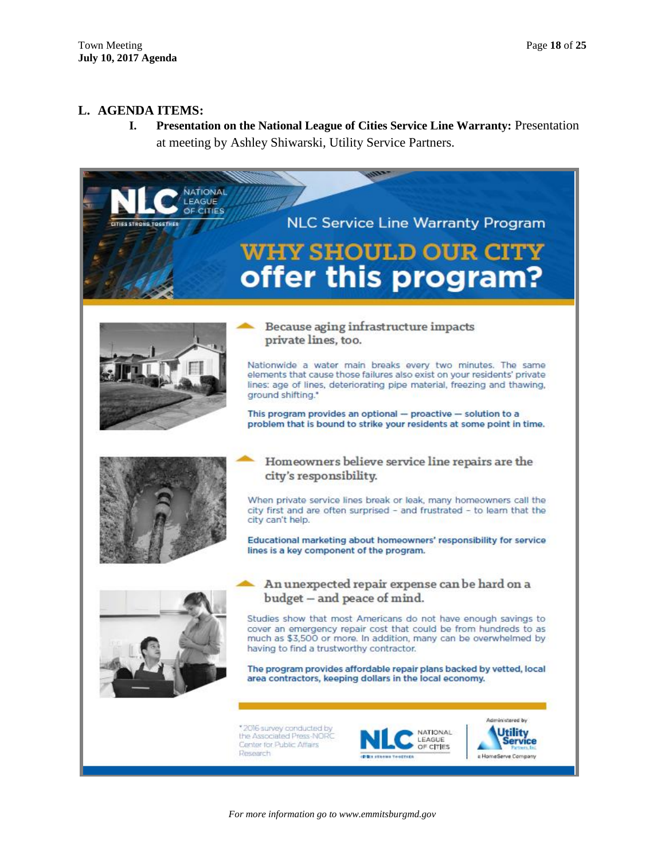## **L. AGENDA ITEMS:**

**I. Presentation on the National League of Cities Service Line Warranty:** Presentation at meeting by Ashley Shiwarski, Utility Service Partners.

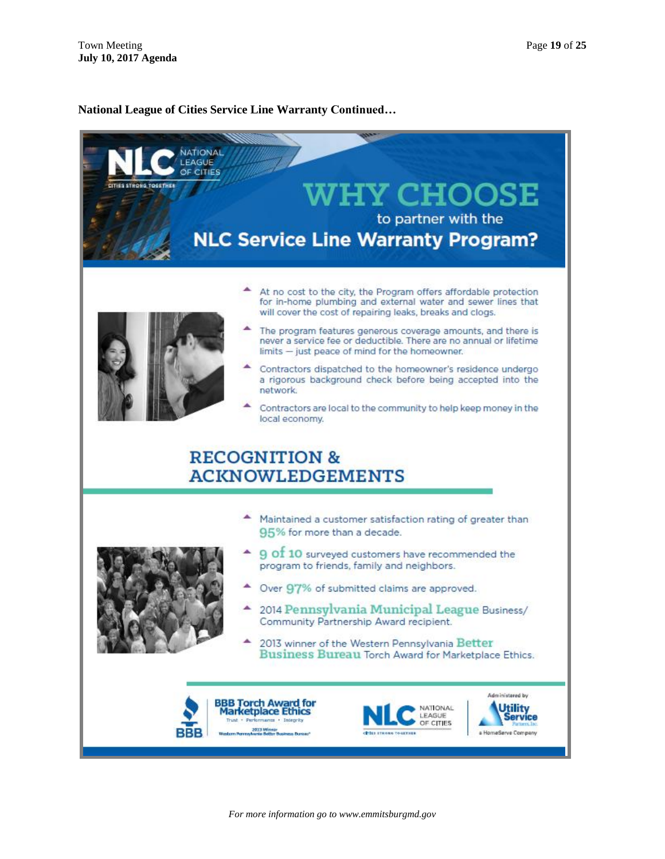#### **National League of Cities Service Line Warranty Continued…**



*For more information go to www.emmitsburgmd.gov*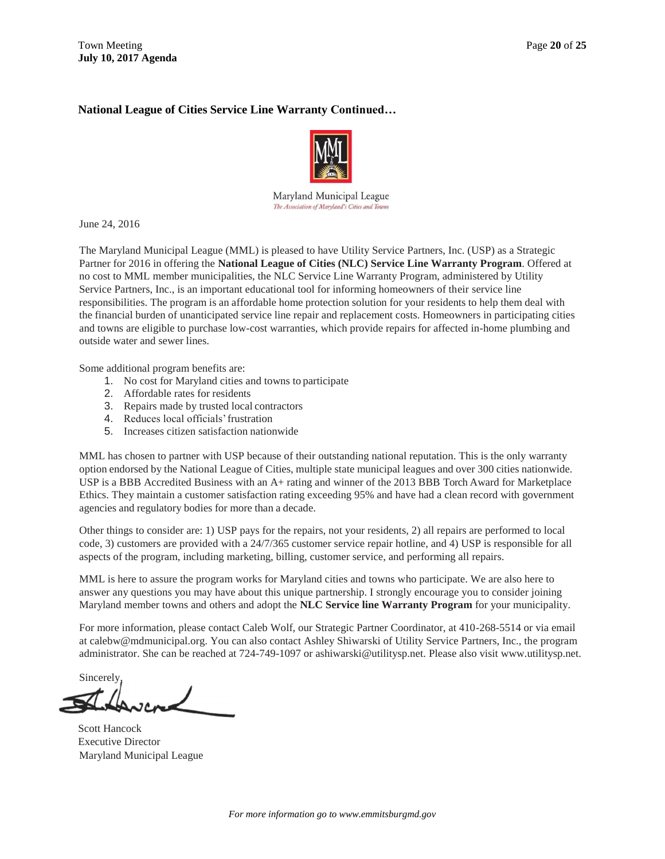## **National League of Cities Service Line Warranty Continued…**



Maryland Municipal League The Association of Maryland's Cities and Towns

June 24, 2016

The Maryland Municipal League (MML) is pleased to have Utility Service Partners, Inc. (USP) as a Strategic Partner for 2016 in offering the **National League of Cities (NLC) Service Line Warranty Program**. Offered at no cost to MML member municipalities, the NLC Service Line Warranty Program, administered by Utility Service Partners, Inc., is an important educational tool for informing homeowners of their service line responsibilities. The program is an affordable home protection solution for your residents to help them deal with the financial burden of unanticipated service line repair and replacement costs. Homeowners in participating cities and towns are eligible to purchase low-cost warranties, which provide repairs for affected in-home plumbing and outside water and sewer lines.

Some additional program benefits are:

- 1. No cost for Maryland cities and towns to participate
- 2. Affordable rates for residents
- 3. Repairs made by trusted local contractors
- 4. Reduces local officials'frustration
- 5. Increases citizen satisfaction nationwide

MML has chosen to partner with USP because of their outstanding national reputation. This is the only warranty option endorsed by the National League of Cities, multiple state municipal leagues and over 300 cities nationwide. USP is a BBB Accredited Business with an A+ rating and winner of the 2013 BBB Torch Award for Marketplace Ethics. They maintain a customer satisfaction rating exceeding 95% and have had a clean record with government agencies and regulatory bodies for more than a decade.

Other things to consider are: 1) USP pays for the repairs, not your residents, 2) all repairs are performed to local code, 3) customers are provided with a 24/7/365 customer service repair hotline, and 4) USP is responsible for all aspects of the program, including marketing, billing, customer service, and performing all repairs.

MML is here to assure the program works for Maryland cities and towns who participate. We are also here to answer any questions you may have about this unique partnership. I strongly encourage you to consider joining Maryland member towns and others and adopt the **NLC Service line Warranty Program** for your municipality.

For more information, please contact Caleb Wolf, our Strategic Partner Coordinator, at 410-268-5514 or via email at [calebw@mdmunicipal.org. Y](mailto:calebw@mdmunicipal.org)ou can also contact Ashley Shiwarski of Utility Service Partners, Inc., the program administrator. She can be reached at 724-749-1097 o[r ashiwarski@utilitysp.net. P](mailto:ashiwarski@utilitysp.net)lease also visit [www.utilitysp.net.](http://www.utilitysp.net/)

**Sincerely** 

Scott Hancock Executive Director Maryland Municipal League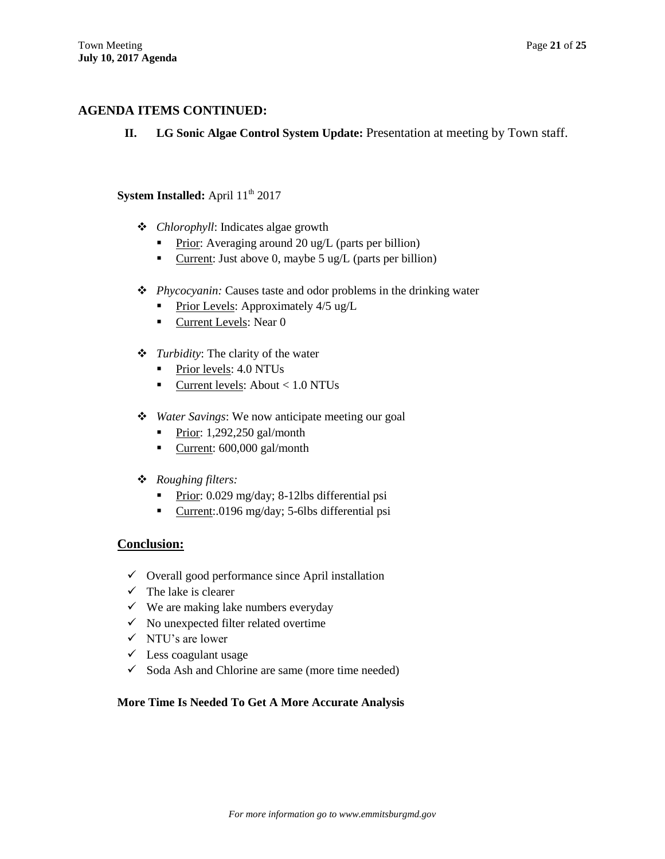## **AGENDA ITEMS CONTINUED:**

**II. LG Sonic Algae Control System Update:** Presentation at meeting by Town staff.

# **System Installed:** April  $11<sup>th</sup>$  2017

- *Chlorophyll*: Indicates algae growth
	- Prior: Averaging around 20 ug/L (parts per billion)
	- Current: Just above 0, maybe 5 ug/L (parts per billion)
- *Phycocyanin:* Causes taste and odor problems in the drinking water
	- Prior Levels: Approximately  $4/5$  ug/L
	- Current Levels: Near 0
- *Turbidity*: The clarity of the water
	- Prior levels: 4.0 NTUs
	- $\blacksquare$  Current levels: About < 1.0 NTUs
- *Water Savings*: We now anticipate meeting our goal
	- Prior: 1,292,250 gal/month
	- Current: 600,000 gal/month
- *Roughing filters:*
	- Prior: 0.029 mg/day; 8-12lbs differential psi
	- Current:.0196 mg/day; 5-6lbs differential psi

## **Conclusion:**

- $\checkmark$  Overall good performance since April installation
- $\checkmark$  The lake is clearer
- $\checkmark$  We are making lake numbers everyday
- $\checkmark$  No unexpected filter related overtime
- $\checkmark$  NTU's are lower
- $\checkmark$  Less coagulant usage
- $\checkmark$  Soda Ash and Chlorine are same (more time needed)

#### **More Time Is Needed To Get A More Accurate Analysis**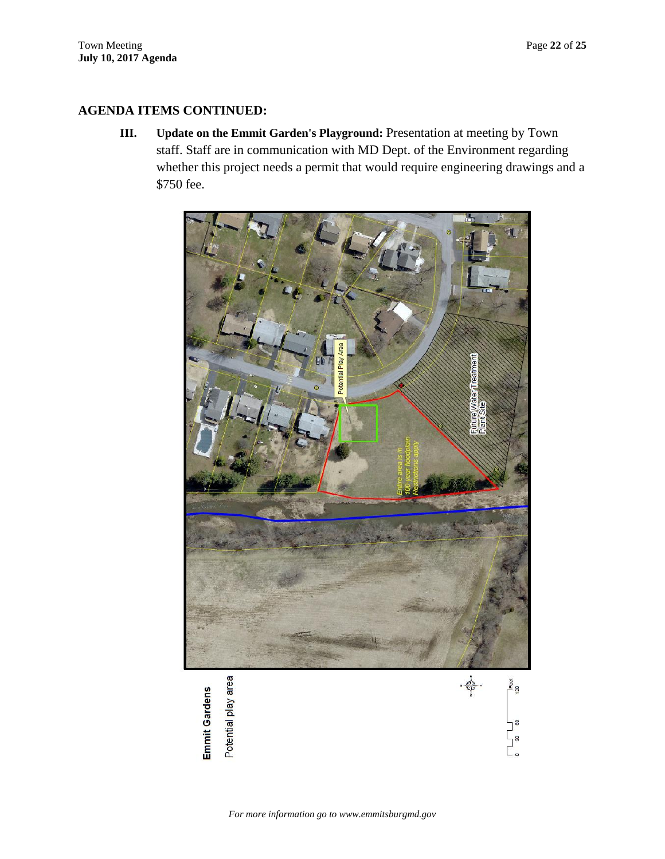# **AGENDA ITEMS CONTINUED:**

**III. Update on the Emmit Garden's Playground:** Presentation at meeting by Town staff. Staff are in communication with MD Dept. of the Environment regarding whether this project needs a permit that would require engineering drawings and a \$750 fee.

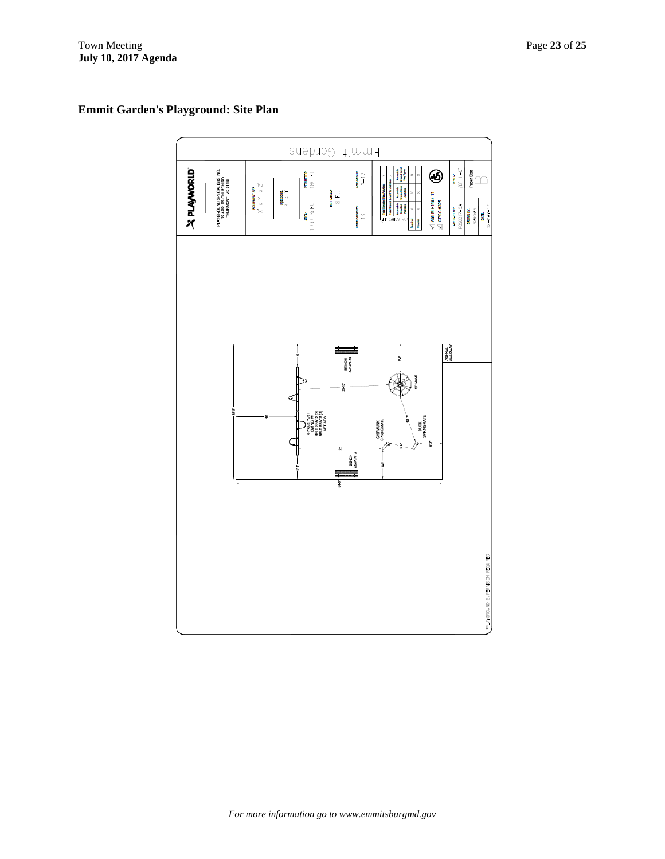# Emmit Gardens **JAPIAMORID** PENAETER<br>1800 F.L ◉ abor Size AGE GROUP:<br> $2-12$ PLAYGROUND SPECIALISTS IN<br>29 APPLES CHURCH RD<br>THURMONT, MD 21788 80ALE  $\begin{array}{c} \text{converuerge} \\ \text{if} \quad \text{if} \quad \text{if} \quad \text{if} \quad \text{if} \end{array}$ вщивант:<br> $8 \, \text{Ft}$  $\sqrt{ }$  ASTM F1487-11<br> $\angle$  CPSC #325 훞 **ROJECT NO:**<br>60217 - 54 **APACITY:** 937 ana ang pag ASPHALT<br>TJAHRIKA BENCH<br>ZZXX141 DUCK<br>SPRINGMATE CHPMUNK<br>SPRINGMATE BENCH<br>ZZXX1410 SUPERVISION REQUIRED

# **Emmit Garden's Playground: Site Plan**

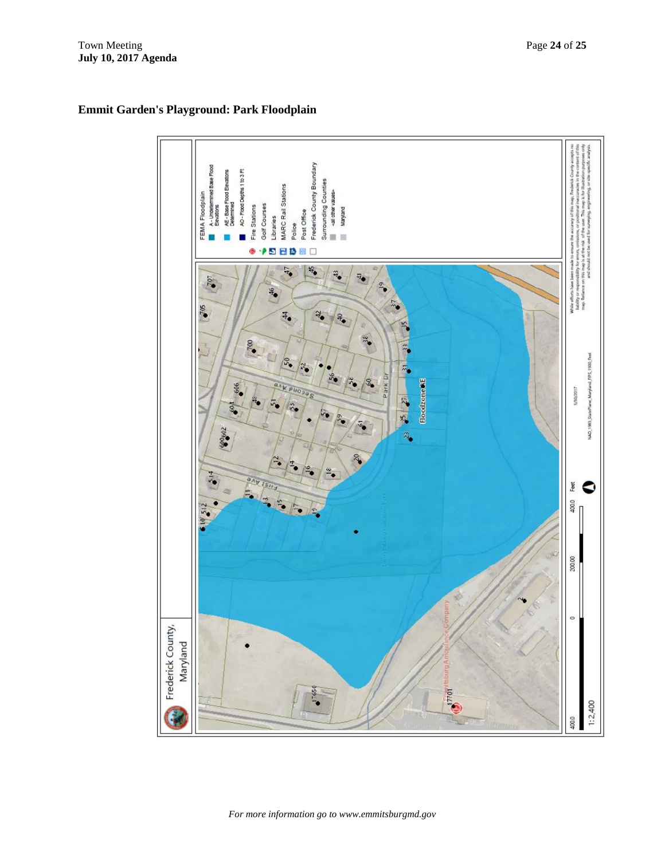

# **Emmit Garden's Playground: Park Floodplain**